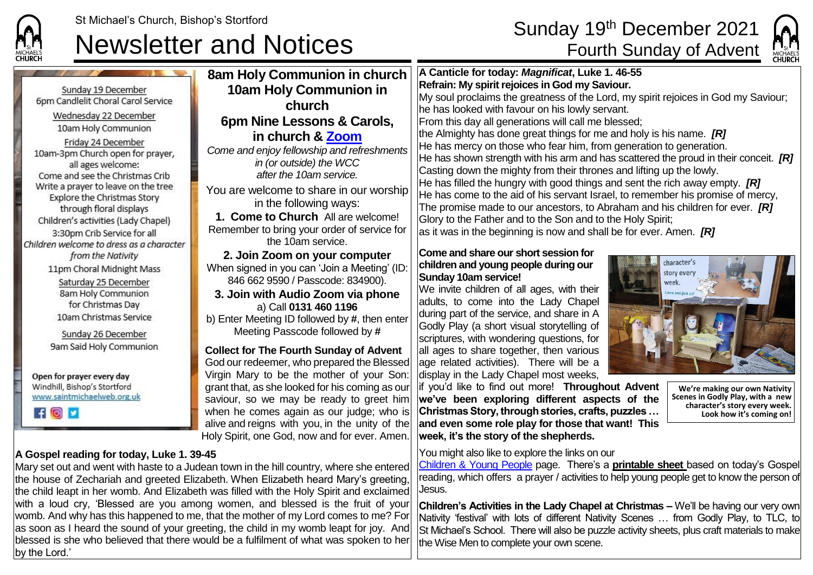

Meeting Passcode followed by **#**

alive and reigns with you, in the unity of the Holy Spirit, one God, now and for ever. Amen.



**10am Holy Commun** Sunday 19 December 6pm Candlelit Choral Carol Service Wednesday 22 December **6pm Nine Lessons &** 10am Holy Communion Friday 24 December *Come and enjoy fellowship and* 10am-3pm Church open for prayer, all ages welcome: Come and see the Christmas Crib Write a prayer to leave on the tree You are welcome to share in Explore the Christmas Story through floral displays **1. Come to Church All are** Children's activities (Lady Chapel) Remember to bring your order 3:30pm Crib Service for all Children welcome to dress as a character from the Nativity **2. Join Zoom on your computer** 11pm Choral Midnight Mass When signed in you can 'Join a 846 662 9590 / Passcode: Saturday 25 December 8am Holy Communion **3. Join with Audio Zoom** for Christmas Day 10am Christmas Service b) Enter Meeting ID followed by **#**, then enter Sunday 26 December 9am Said Holy Communion **Collect for The Fourth Sunday of Advent** God our redeemer, who prepared the Blessed Virgin Mary to be the mother of your Son: Open for prayer every day Windhill, Bishop's Stortford grant that, as she looked for his coming as our www.saintmichaelweb.org.uk saviour, so we may be ready to greet him  $f$   $\theta$   $\theta$ when he comes again as our judge; who is

## **A Gospel reading for today, Luke 1. 39-45**

## Mary set out and went with haste to a Judean town in the hill country, where she entered the house of Zechariah and greeted Elizabeth. When Elizabeth heard Mary's greeting, the child leapt in her womb. And Elizabeth was filled with the Holy Spirit and exclaimed with a loud cry, 'Blessed are you among women, and blessed is the fruit of your womb. And why has this happened to me, that the mother of my Lord comes to me? For

as soon as I heard the sound of your greeting, the child in my womb leapt for joy. And blessed is she who believed that there would be a fulfilment of what was spoken to her by the Lord.'

| 8am Holy Communion in church                                                                                       | A Canticle for today: Magnificat, Luke 1. 46-55                                                                                                                                                                                                    |
|--------------------------------------------------------------------------------------------------------------------|----------------------------------------------------------------------------------------------------------------------------------------------------------------------------------------------------------------------------------------------------|
| <b>10am Holy Communion in</b>                                                                                      | Refrain: My spirit rejoices in God my Saviour.                                                                                                                                                                                                     |
| church                                                                                                             | My soul proclaims the greatness of the Lord, my spirit rejoices in God my Saviour;<br>he has looked with favour on his lowly servant.                                                                                                              |
| 6pm Nine Lessons & Carols,                                                                                         | From this day all generations will call me blessed;                                                                                                                                                                                                |
| in church & Zoom                                                                                                   | the Almighty has done great things for me and holy is his name. $[R]$                                                                                                                                                                              |
| Come and enjoy fellowship and refreshments<br>in (or outside) the WCC<br>after the 10am service.                   | He has mercy on those who fear him, from generation to generation.<br>He has shown strength with his arm and has scattered the proud in their conceit. $[R]$<br>Casting down the mighty from their thrones and lifting up the lowly.               |
| You are welcome to share in our worship<br>in the following ways:                                                  | He has filled the hungry with good things and sent the rich away empty. $[R]$<br>He has come to the aid of his servant Israel, to remember his promise of mercy,<br>The promise made to our ancestors, to Abraham and his children for ever. $[R]$ |
| 1. Come to Church All are welcome!                                                                                 | Glory to the Father and to the Son and to the Holy Spirit;                                                                                                                                                                                         |
| Remember to bring your order of service for<br>the 10am service.                                                   | as it was in the beginning is now and shall be for ever. Amen. $[{\cal R}]$                                                                                                                                                                        |
| 2. Join Zoom on your computer<br>When signed in you can 'Join a Meeting' (ID:<br>846 662 9590 / Passcode: 834900). | Come and share our short session for<br>character's<br>children and young people during our<br>story every<br><b>Sunday 10am service!</b><br>week.                                                                                                 |
| 3. Join with Audio Zoom via phone<br>a) Call 0131 460 1196                                                         | We invite children of all ages, with their<br>Come and join us<br>adults, to come into the Lady Chapel                                                                                                                                             |

during part of the service, and share in A Godly Play (a short visual storytelling of scriptures, with wondering questions, for all ages to share together, then various age related activities). There will be a display in the Lady Chapel most weeks,

if you'd like to find out more! **Throughout Advent we've been exploring different aspects of the Christmas Story, through stories, crafts, puzzles … and even some role play for those that want! This week, it's the story of the shepherds.**

You might also like to explore the links on our

[Children & Young People](https://saintmichaelweb.org.uk/Groups/310496/Children_and_Young.aspx) page. There's a **[printable sheet](https://saintmichaelweb.org.uk/Groups/310496/Children_and_Young.aspx)** based on today's Gospel reading, which offers a prayer / activities to help young people get to know the person of Jesus.

**Children's Activities in the Lady Chapel at Christmas –** We'll be having our very own Nativity 'festival' with lots of different Nativity Scenes … from Godly Play, to TLC, to St Michael's School. There will also be puzzle activity sheets, plus craft materials to make the Wise Men to complete your own scene.



**We're making our own Nativity Scenes in Godly Play, with a new character's story every week. Look how it's coming on!**